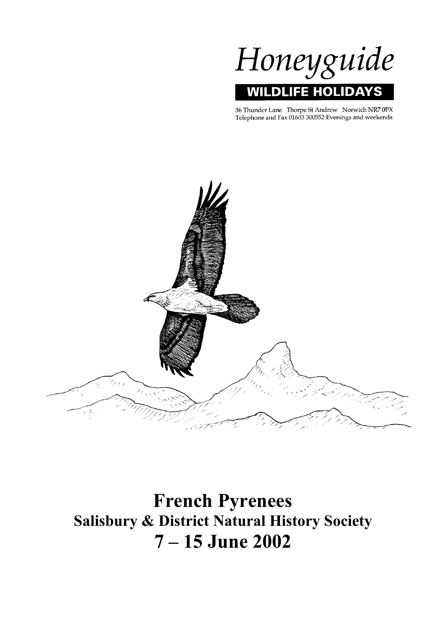

36 Thunder Lane Thorpe St Andrew Norwich NR7 0PX<br>Telephone and Fax 01603 300552 Evenings and weekends



**French Pyrenees Salisbury & District Natural History Society 7 – 15 June 2002**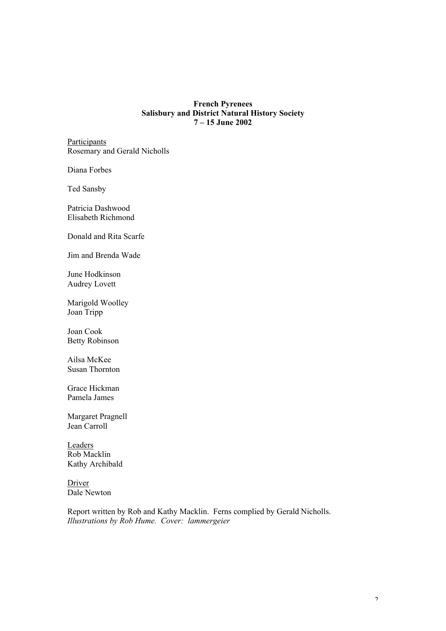#### **French Pyrenees Salisbury and District Natural History Society 7 – 15 June 2002**

**Participants** Rosemary and Gerald Nicholls

Diana Forbes

Ted Sansby

Patricia Dashwood Elisabeth Richmond

Donald and Rita Scarfe

Jim and Brenda Wade

June Hodkinson Audrey Lovett

Marigold Woolley Joan Tripp

Joan Cook Betty Robinson

Ailsa McKee Susan Thornton

Grace Hickman Pamela James

Margaret Pragnell Jean Carroll

Leaders Rob Macklin Kathy Archibald

Driver Dale Newton

Report written by Rob and Kathy Macklin. Ferns complied by Gerald Nicholls. *Illustrations by Rob Hume. Cover: lammergeier*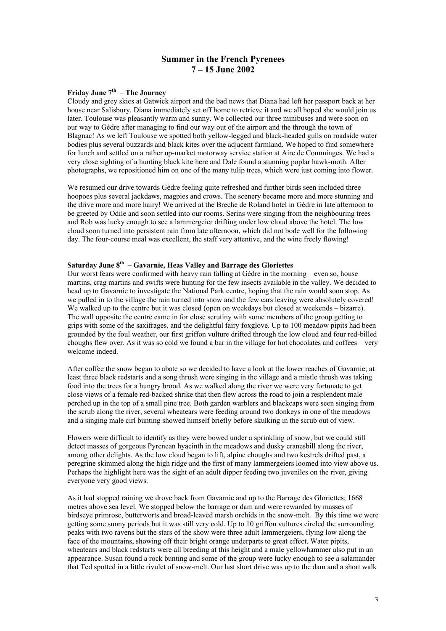### **Summer in the French Pyrenees 7 – 15 June 2002**

### **Friday June 7th** – **The Journey**

Cloudy and grey skies at Gatwick airport and the bad news that Diana had left her passport back at her house near Salisbury. Diana immediately set off home to retrieve it and we all hoped she would join us later. Toulouse was pleasantly warm and sunny. We collected our three minibuses and were soon on our way to Gèdre after managing to find our way out of the airport and the through the town of Blagnac! As we left Toulouse we spotted both yellow-legged and black-headed gulls on roadside water bodies plus several buzzards and black kites over the adjacent farmland. We hoped to find somewhere for lunch and settled on a rather up-market motorway service station at Aire de Comminges. We had a very close sighting of a hunting black kite here and Dale found a stunning poplar hawk-moth. After photographs, we repositioned him on one of the many tulip trees, which were just coming into flower.

We resumed our drive towards Gèdre feeling quite refreshed and further birds seen included three hoopoes plus several jackdaws, magpies and crows. The scenery became more and more stunning and the drive more and more hairy! We arrived at the Breche de Roland hotel in Gèdre in late afternoon to be greeted by Odile and soon settled into our rooms. Serins were singing from the neighbouring trees and Rob was lucky enough to see a lammergeier drifting under low cloud above the hotel. The low cloud soon turned into persistent rain from late afternoon, which did not bode well for the following day. The four-course meal was excellent, the staff very attentive, and the wine freely flowing!

#### **Saturday June 8th – Gavarnie, Heas Valley and Barrage des Gloriettes**

Our worst fears were confirmed with heavy rain falling at Gèdre in the morning – even so, house martins, crag martins and swifts were hunting for the few insects available in the valley. We decided to head up to Gavarnie to investigate the National Park centre, hoping that the rain would soon stop. As we pulled in to the village the rain turned into snow and the few cars leaving were absolutely covered! We walked up to the centre but it was closed (open on weekdays but closed at weekends – bizarre). The wall opposite the centre came in for close scrutiny with some members of the group getting to grips with some of the saxifrages, and the delightful fairy foxglove. Up to 100 meadow pipits had been grounded by the foul weather, our first griffon vulture drifted through the low cloud and four red-billed choughs flew over. As it was so cold we found a bar in the village for hot chocolates and coffees – very welcome indeed.

After coffee the snow began to abate so we decided to have a look at the lower reaches of Gavarnie; at least three black redstarts and a song thrush were singing in the village and a mistle thrush was taking food into the trees for a hungry brood. As we walked along the river we were very fortunate to get close views of a female red-backed shrike that then flew across the road to join a resplendent male perched up in the top of a small pine tree. Both garden warblers and blackcaps were seen singing from the scrub along the river, several wheatears were feeding around two donkeys in one of the meadows and a singing male cirl bunting showed himself briefly before skulking in the scrub out of view.

Flowers were difficult to identify as they were bowed under a sprinkling of snow, but we could still detect masses of gorgeous Pyrenean hyacinth in the meadows and dusky cranesbill along the river, among other delights. As the low cloud began to lift, alpine choughs and two kestrels drifted past, a peregrine skimmed along the high ridge and the first of many lammergeiers loomed into view above us. Perhaps the highlight here was the sight of an adult dipper feeding two juveniles on the river, giving everyone very good views.

As it had stopped raining we drove back from Gavarnie and up to the Barrage des Gloriettes; 1668 metres above sea level. We stopped below the barrage or dam and were rewarded by masses of birdseye primrose, butterworts and broad-leaved marsh orchids in the snow-melt. By this time we were getting some sunny periods but it was still very cold. Up to 10 griffon vultures circled the surrounding peaks with two ravens but the stars of the show were three adult lammergeiers, flying low along the face of the mountains, showing off their bright orange underparts to great effect. Water pipits, wheatears and black redstarts were all breeding at this height and a male yellowhammer also put in an appearance. Susan found a rock bunting and some of the group were lucky enough to see a salamander that Ted spotted in a little rivulet of snow-melt. Our last short drive was up to the dam and a short walk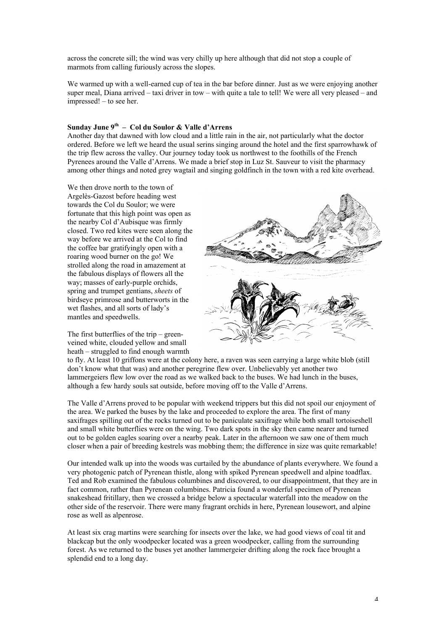across the concrete sill; the wind was very chilly up here although that did not stop a couple of marmots from calling furiously across the slopes.

We warmed up with a well-earned cup of tea in the bar before dinner. Just as we were enjoying another super meal, Diana arrived – taxi driver in tow – with quite a tale to tell! We were all very pleased – and impressed! – to see her.

#### **Sunday June 9th – Col du Soulor & Valle d'Arrens**

Another day that dawned with low cloud and a little rain in the air, not particularly what the doctor ordered. Before we left we heard the usual serins singing around the hotel and the first sparrowhawk of the trip flew across the valley. Our journey today took us northwest to the foothills of the French Pyrenees around the Valle d'Arrens. We made a brief stop in Luz St. Sauveur to visit the pharmacy among other things and noted grey wagtail and singing goldfinch in the town with a red kite overhead.

We then drove north to the town of Argelès-Gazost before heading west towards the Col du Soulor; we were fortunate that this high point was open as the nearby Col d'Aubisque was firmly closed. Two red kites were seen along the way before we arrived at the Col to find the coffee bar gratifyingly open with a roaring wood burner on the go! We strolled along the road in amazement at the fabulous displays of flowers all the way; masses of early-purple orchids, spring and trumpet gentians, *sheets* of birdseye primrose and butterworts in the wet flashes, and all sorts of lady's mantles and speedwells.

The first butterflies of the trip – greenveined white, clouded yellow and small heath – struggled to find enough warmth



to fly. At least 10 griffons were at the colony here, a raven was seen carrying a large white blob (still don't know what that was) and another peregrine flew over. Unbelievably yet another two lammergeiers flew low over the road as we walked back to the buses. We had lunch in the buses, although a few hardy souls sat outside, before moving off to the Valle d'Arrens.

The Valle d'Arrens proved to be popular with weekend trippers but this did not spoil our enjoyment of the area. We parked the buses by the lake and proceeded to explore the area. The first of many saxifrages spilling out of the rocks turned out to be paniculate saxifrage while both small tortoiseshell and small white butterflies were on the wing. Two dark spots in the sky then came nearer and turned out to be golden eagles soaring over a nearby peak. Later in the afternoon we saw one of them much closer when a pair of breeding kestrels was mobbing them; the difference in size was quite remarkable!

Our intended walk up into the woods was curtailed by the abundance of plants everywhere. We found a very photogenic patch of Pyrenean thistle, along with spiked Pyrenean speedwell and alpine toadflax. Ted and Rob examined the fabulous columbines and discovered, to our disappointment, that they are in fact common, rather than Pyrenean columbines. Patricia found a wonderful specimen of Pyrenean snakeshead fritillary, then we crossed a bridge below a spectacular waterfall into the meadow on the other side of the reservoir. There were many fragrant orchids in here, Pyrenean lousewort, and alpine rose as well as alpenrose.

At least six crag martins were searching for insects over the lake, we had good views of coal tit and blackcap but the only woodpecker located was a green woodpecker, calling from the surrounding forest. As we returned to the buses yet another lammergeier drifting along the rock face brought a splendid end to a long day.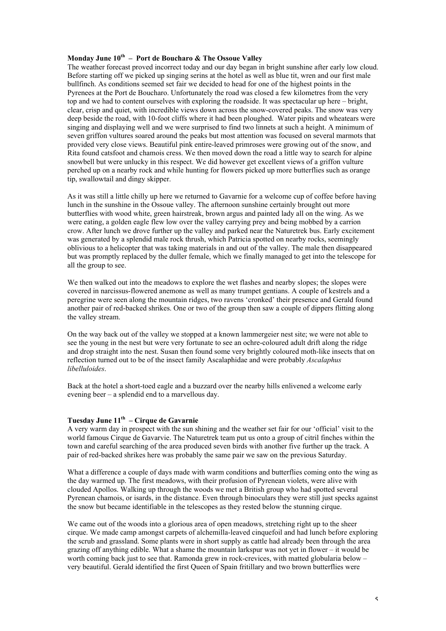### **Monday June 10th – Port de Boucharo & The Ossoue Valley**

The weather forecast proved incorrect today and our day began in bright sunshine after early low cloud. Before starting off we picked up singing serins at the hotel as well as blue tit, wren and our first male bullfinch. As conditions seemed set fair we decided to head for one of the highest points in the Pyrenees at the Port de Boucharo. Unfortunately the road was closed a few kilometres from the very top and we had to content ourselves with exploring the roadside. It was spectacular up here – bright, clear, crisp and quiet, with incredible views down across the snow-covered peaks. The snow was very deep beside the road, with 10-foot cliffs where it had been ploughed. Water pipits and wheatears were singing and displaying well and we were surprised to find two linnets at such a height. A minimum of seven griffon vultures soared around the peaks but most attention was focused on several marmots that provided very close views. Beautiful pink entire-leaved primroses were growing out of the snow, and Rita found catsfoot and chamois cress. We then moved down the road a little way to search for alpine snowbell but were unlucky in this respect. We did however get excellent views of a griffon vulture perched up on a nearby rock and while hunting for flowers picked up more butterflies such as orange tip, swallowtail and dingy skipper.

As it was still a little chilly up here we returned to Gavarnie for a welcome cup of coffee before having lunch in the sunshine in the Ossoue valley. The afternoon sunshine certainly brought out more butterflies with wood white, green hairstreak, brown argus and painted lady all on the wing. As we were eating, a golden eagle flew low over the valley carrying prey and being mobbed by a carrion crow. After lunch we drove further up the valley and parked near the Naturetrek bus. Early excitement was generated by a splendid male rock thrush, which Patricia spotted on nearby rocks, seemingly oblivious to a helicopter that was taking materials in and out of the valley. The male then disappeared but was promptly replaced by the duller female, which we finally managed to get into the telescope for all the group to see.

We then walked out into the meadows to explore the wet flashes and nearby slopes; the slopes were covered in narcissus-flowered anemone as well as many trumpet gentians. A couple of kestrels and a peregrine were seen along the mountain ridges, two ravens 'cronked' their presence and Gerald found another pair of red-backed shrikes. One or two of the group then saw a couple of dippers flitting along the valley stream.

On the way back out of the valley we stopped at a known lammergeier nest site; we were not able to see the young in the nest but were very fortunate to see an ochre-coloured adult drift along the ridge and drop straight into the nest. Susan then found some very brightly coloured moth-like insects that on reflection turned out to be of the insect family Ascalaphidae and were probably *Ascalaphus libelluloides*.

Back at the hotel a short-toed eagle and a buzzard over the nearby hills enlivened a welcome early evening beer – a splendid end to a marvellous day.

#### **Tuesday June 11th – Cirque de Gavarnie**

A very warm day in prospect with the sun shining and the weather set fair for our 'official' visit to the world famous Cirque de Gavarvie. The Naturetrek team put us onto a group of citril finches within the town and careful searching of the area produced seven birds with another five further up the track. A pair of red-backed shrikes here was probably the same pair we saw on the previous Saturday.

What a difference a couple of days made with warm conditions and butterflies coming onto the wing as the day warmed up. The first meadows, with their profusion of Pyrenean violets, were alive with clouded Apollos. Walking up through the woods we met a British group who had spotted several Pyrenean chamois, or isards, in the distance. Even through binoculars they were still just specks against the snow but became identifiable in the telescopes as they rested below the stunning cirque.

We came out of the woods into a glorious area of open meadows, stretching right up to the sheer cirque. We made camp amongst carpets of alchemilla-leaved cinquefoil and had lunch before exploring the scrub and grassland. Some plants were in short supply as cattle had already been through the area grazing off anything edible. What a shame the mountain larkspur was not yet in flower – it would be worth coming back just to see that. Ramonda grew in rock-crevices, with matted globularia below – very beautiful. Gerald identified the first Queen of Spain fritillary and two brown butterflies were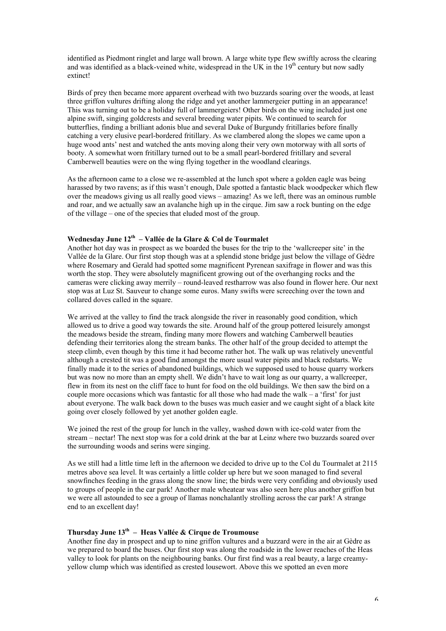identified as Piedmont ringlet and large wall brown. A large white type flew swiftly across the clearing and was identified as a black-veined white, widespread in the UK in the 19<sup>th</sup> century but now sadly extinct!

Birds of prey then became more apparent overhead with two buzzards soaring over the woods, at least three griffon vultures drifting along the ridge and yet another lammergeier putting in an appearance! This was turning out to be a holiday full of lammergeiers! Other birds on the wing included just one alpine swift, singing goldcrests and several breeding water pipits. We continued to search for butterflies, finding a brilliant adonis blue and several Duke of Burgundy fritillaries before finally catching a very elusive pearl-bordered fritillary. As we clambered along the slopes we came upon a huge wood ants' nest and watched the ants moving along their very own motorway with all sorts of booty. A somewhat worn fritillary turned out to be a small pearl-bordered fritillary and several Camberwell beauties were on the wing flying together in the woodland clearings.

As the afternoon came to a close we re-assembled at the lunch spot where a golden eagle was being harassed by two ravens; as if this wasn't enough, Dale spotted a fantastic black woodpecker which flew over the meadows giving us all really good views – amazing! As we left, there was an ominous rumble and roar, and we actually saw an avalanche high up in the cirque. Jim saw a rock bunting on the edge of the village – one of the species that eluded most of the group.

#### **Wednesday June 12th – Vallée de la Glare & Col de Tourmalet**

Another hot day was in prospect as we boarded the buses for the trip to the 'wallcreeper site' in the Vallée de la Glare. Our first stop though was at a splendid stone bridge just below the village of Gèdre where Rosemary and Gerald had spotted some magnificent Pyrenean saxifrage in flower and was this worth the stop. They were absolutely magnificent growing out of the overhanging rocks and the cameras were clicking away merrily – round-leaved restharrow was also found in flower here. Our next stop was at Luz St. Sauveur to change some euros. Many swifts were screeching over the town and collared doves called in the square.

We arrived at the valley to find the track alongside the river in reasonably good condition, which allowed us to drive a good way towards the site. Around half of the group pottered leisurely amongst the meadows beside the stream, finding many more flowers and watching Camberwell beauties defending their territories along the stream banks. The other half of the group decided to attempt the steep climb, even though by this time it had become rather hot. The walk up was relatively uneventful although a crested tit was a good find amongst the more usual water pipits and black redstarts. We finally made it to the series of abandoned buildings, which we supposed used to house quarry workers but was now no more than an empty shell. We didn't have to wait long as our quarry, a wallcreeper, flew in from its nest on the cliff face to hunt for food on the old buildings. We then saw the bird on a couple more occasions which was fantastic for all those who had made the walk  $-$  a 'first' for just about everyone. The walk back down to the buses was much easier and we caught sight of a black kite going over closely followed by yet another golden eagle.

We joined the rest of the group for lunch in the valley, washed down with ice-cold water from the stream – nectar! The next stop was for a cold drink at the bar at Leinz where two buzzards soared over the surrounding woods and serins were singing.

As we still had a little time left in the afternoon we decided to drive up to the Col du Tourmalet at 2115 metres above sea level. It was certainly a little colder up here but we soon managed to find several snowfinches feeding in the grass along the snow line; the birds were very confiding and obviously used to groups of people in the car park! Another male wheatear was also seen here plus another griffon but we were all astounded to see a group of llamas nonchalantly strolling across the car park! A strange end to an excellent day!

### **Thursday June 13th – Heas Vallée & Cirque de Troumouse**

Another fine day in prospect and up to nine griffon vultures and a buzzard were in the air at Gèdre as we prepared to board the buses. Our first stop was along the roadside in the lower reaches of the Heas valley to look for plants on the neighbouring banks. Our first find was a real beauty, a large creamyyellow clump which was identified as crested lousewort. Above this we spotted an even more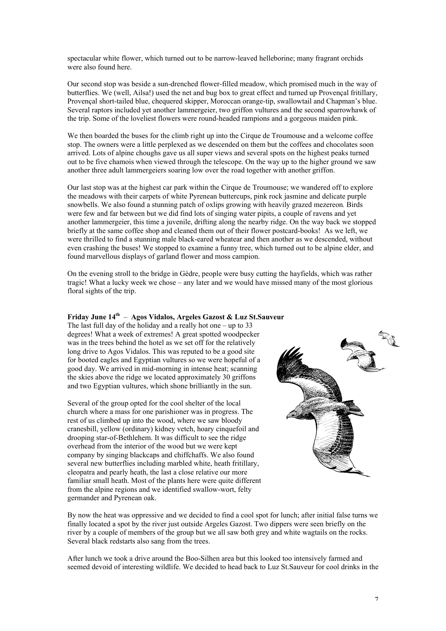spectacular white flower, which turned out to be narrow-leaved helleborine; many fragrant orchids were also found here.

Our second stop was beside a sun-drenched flower-filled meadow, which promised much in the way of butterflies. We (well, Ailsa!) used the net and bug box to great effect and turned up Provençal fritillary, Provençal short-tailed blue, chequered skipper, Moroccan orange-tip, swallowtail and Chapman's blue. Several raptors included yet another lammergeier, two griffon vultures and the second sparrowhawk of the trip. Some of the loveliest flowers were round-headed rampions and a gorgeous maiden pink.

We then boarded the buses for the climb right up into the Cirque de Troumouse and a welcome coffee stop. The owners were a little perplexed as we descended on them but the coffees and chocolates soon arrived. Lots of alpine choughs gave us all super views and several spots on the highest peaks turned out to be five chamois when viewed through the telescope. On the way up to the higher ground we saw another three adult lammergeiers soaring low over the road together with another griffon.

Our last stop was at the highest car park within the Cirque de Troumouse; we wandered off to explore the meadows with their carpets of white Pyrenean buttercups, pink rock jasmine and delicate purple snowbells. We also found a stunning patch of oxlips growing with heavily grazed mezereon*.* Birds were few and far between but we did find lots of singing water pipits, a couple of ravens and yet another lammergeier, this time a juvenile, drifting along the nearby ridge. On the way back we stopped briefly at the same coffee shop and cleaned them out of their flower postcard-books! As we left, we were thrilled to find a stunning male black-eared wheatear and then another as we descended, without even crashing the buses! We stopped to examine a funny tree, which turned out to be alpine elder, and found marvellous displays of garland flower and moss campion.

On the evening stroll to the bridge in Gèdre, people were busy cutting the hayfields, which was rather tragic! What a lucky week we chose – any later and we would have missed many of the most glorious floral sights of the trip.

#### **Friday June 14th** – **Agos Vidalos, Argeles Gazost & Luz St.Sauveur**

The last full day of the holiday and a really hot one – up to  $33$ degrees! What a week of extremes! A great spotted woodpecker was in the trees behind the hotel as we set off for the relatively long drive to Agos Vidalos. This was reputed to be a good site for booted eagles and Egyptian vultures so we were hopeful of a good day. We arrived in mid-morning in intense heat; scanning the skies above the ridge we located approximately 30 griffons and two Egyptian vultures, which shone brilliantly in the sun.

Several of the group opted for the cool shelter of the local church where a mass for one parishioner was in progress. The rest of us climbed up into the wood, where we saw bloody cranesbill, yellow (ordinary) kidney vetch, hoary cinquefoil and drooping star-of-Bethlehem. It was difficult to see the ridge overhead from the interior of the wood but we were kept company by singing blackcaps and chiffchaffs. We also found several new butterflies including marbled white, heath fritillary, cleopatra and pearly heath, the last a close relative our more familiar small heath. Most of the plants here were quite different from the alpine regions and we identified swallow-wort, felty germander and Pyrenean oak.



By now the heat was oppressive and we decided to find a cool spot for lunch; after initial false turns we finally located a spot by the river just outside Argeles Gazost. Two dippers were seen briefly on the river by a couple of members of the group but we all saw both grey and white wagtails on the rocks. Several black redstarts also sang from the trees.

After lunch we took a drive around the Boo-Silhen area but this looked too intensively farmed and seemed devoid of interesting wildlife. We decided to head back to Luz St.Sauveur for cool drinks in the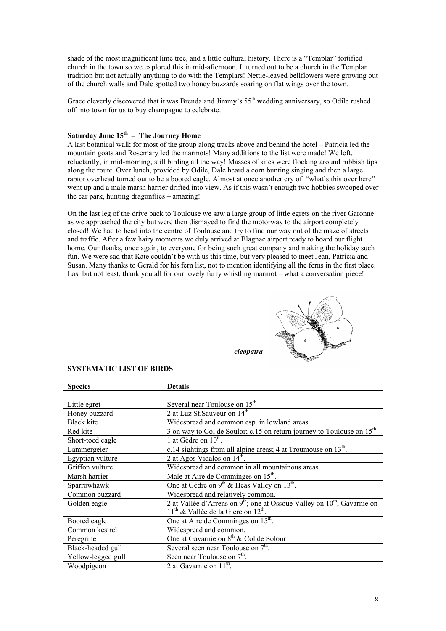shade of the most magnificent lime tree, and a little cultural history. There is a "Templar" fortified church in the town so we explored this in mid-afternoon. It turned out to be a church in the Templar tradition but not actually anything to do with the Templars! Nettle-leaved bellflowers were growing out of the church walls and Dale spotted two honey buzzards soaring on flat wings over the town.

Grace cleverly discovered that it was Brenda and Jimmy's 55<sup>th</sup> wedding anniversary, so Odile rushed off into town for us to buy champagne to celebrate.

#### Saturday June 15<sup>th</sup> – The Journey Home

A last botanical walk for most of the group along tracks above and behind the hotel – Patricia led the mountain goats and Rosemary led the marmots! Many additions to the list were made! We left, reluctantly, in mid-morning, still birding all the way! Masses of kites were flocking around rubbish tips along the route. Over lunch, provided by Odile, Dale heard a corn bunting singing and then a large raptor overhead turned out to be a booted eagle. Almost at once another cry of "what's this over here" went up and a male marsh harrier drifted into view. As if this wasn't enough two hobbies swooped over the car park, hunting dragonflies – amazing!

On the last leg of the drive back to Toulouse we saw a large group of little egrets on the river Garonne as we approached the city but were then dismayed to find the motorway to the airport completely closed! We had to head into the centre of Toulouse and try to find our way out of the maze of streets and traffic. After a few hairy moments we duly arrived at Blagnac airport ready to board our flight home. Our thanks, once again, to everyone for being such great company and making the holiday such fun. We were sad that Kate couldn't be with us this time, but very pleased to meet Jean, Patricia and Susan. Many thanks to Gerald for his fern list, not to mention identifying all the ferns in the first place. Last but not least, thank you all for our lovely furry whistling marmot – what a conversation piece!



|           | Y |
|-----------|---|
| cleopatra |   |

| <b>Species</b>     | <b>Details</b>                                                                            |
|--------------------|-------------------------------------------------------------------------------------------|
|                    |                                                                                           |
| Little egret       | Several near Toulouse on 15 <sup>th</sup>                                                 |
| Honey buzzard      | 2 at Luz St. Sauveur on 14 <sup>th</sup>                                                  |
| Black kite         | Widespread and common esp. in lowland areas.                                              |
| Red kite           | 3 on way to Col de Soulor; c.15 on return journey to Toulouse on 15 <sup>th</sup> .       |
| Short-toed eagle   | 1 at Gèdre on $10^{\text{th}}$ .                                                          |
| Lammergeier        | c.14 sightings from all alpine areas; 4 at Troumouse on 13 <sup>th</sup> .                |
| Egyptian vulture   | 2 at Agos Vidalos on $14^{\text{th}}$ .                                                   |
| Griffon vulture    | Widespread and common in all mountainous areas.                                           |
| Marsh harrier      | Male at Aire de Comminges on 15 <sup>th</sup> .                                           |
| Sparrowhawk        | One at Gèdre on $9^{th}$ & Heas Valley on 13 <sup>th</sup> .                              |
| Common buzzard     | Widespread and relatively common.                                                         |
| Golden eagle       | 2 at Vallée d'Arrens on 9 <sup>th</sup> ; one at Ossoue Valley on $10^{th}$ , Gavarnie on |
|                    | $11^{th}$ & Vallée de la Glere on $12^{th}$ .                                             |
| Booted eagle       | One at Aire de Comminges on 15 <sup>th</sup> .                                            |
| Common kestrel     | Widespread and common.                                                                    |
| Peregrine          | One at Gavarnie on 8 <sup>th</sup> & Col de Solour                                        |
| Black-headed gull  | Several seen near Toulouse on $7th$ .                                                     |
| Yellow-legged gull | Seen near Toulouse on 7 <sup>th</sup> .                                                   |
| Woodpigeon         | 2 at Gavarnie on $11^{th}$ .                                                              |

#### **SYSTEMATIC LIST OF BIRDS**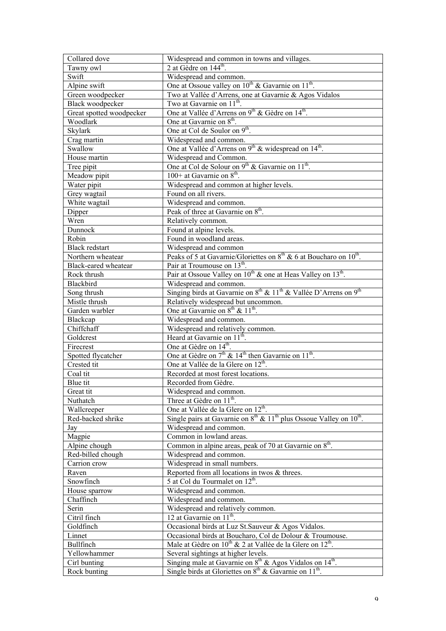| Collared dove                | Widespread and common in towns and villages.                                                                                                             |
|------------------------------|----------------------------------------------------------------------------------------------------------------------------------------------------------|
| Tawny owl                    | 2 at Gèdre on 144 <sup>th</sup> .                                                                                                                        |
| Swift                        | Widespread and common.                                                                                                                                   |
| Alpine swift                 | One at Ossoue valley on 10 <sup>th</sup> & Gavarnie on 11 <sup>th</sup> .                                                                                |
| Green woodpecker             | Two at Vallée d'Arrens, one at Gavarnie & Agos Vidalos                                                                                                   |
| Black woodpecker             | Two at Gavarnie on 11 <sup>th</sup> .                                                                                                                    |
| Great spotted woodpecker     | One at Vallée d'Arrens on 9 <sup>th</sup> & Gèdre on 14 <sup>th</sup> .                                                                                  |
| Woodlark                     | One at Gavarnie on 8 <sup>th</sup> .                                                                                                                     |
| Skylark                      | One at Col de Soulor on 9 <sup>th</sup> .                                                                                                                |
| Crag martin                  | Widespread and common.                                                                                                                                   |
| Swallow                      | One at Vallée d'Arrens on 9 <sup>th</sup> & widespread on 14 <sup>th</sup> .                                                                             |
| House martin                 | Widespread and Common.                                                                                                                                   |
|                              | One at Col de Solour on 9 <sup>th</sup> & Gavarnie on 11 <sup>th</sup> .                                                                                 |
| Tree pipit                   | $100+$ at Gavarnie on $8^{th}$ .                                                                                                                         |
| Meadow pipit                 |                                                                                                                                                          |
| Water pipit                  | Widespread and common at higher levels.                                                                                                                  |
| Grey wagtail                 | Found on all rivers.                                                                                                                                     |
| White wagtail                | Widespread and common.                                                                                                                                   |
| Dipper                       | Peak of three at Gavarnie on 8 <sup>th</sup> .                                                                                                           |
| Wren                         | Relatively common.                                                                                                                                       |
| Dunnock                      | Found at alpine levels.                                                                                                                                  |
| Robin                        | Found in woodland areas.                                                                                                                                 |
| <b>Black redstart</b>        | Widespread and common                                                                                                                                    |
| Northern wheatear            | Peaks of 5 at Gavarnie/Gloriettes on $8th$ & 6 at Boucharo on $10th$ .                                                                                   |
| Black-eared wheatear         | Pair at Troumouse on 13 <sup>th</sup> .                                                                                                                  |
| Rock thrush                  | Pair at Ossoue Valley on 10 <sup>th</sup> & one at Heas Valley on 13 <sup>th</sup> .                                                                     |
| Blackbird                    | Widespread and common.                                                                                                                                   |
| Song thrush                  | Singing birds at Gavarnie on 8 <sup>th</sup> & 11 <sup>th</sup> & Vallée D'Arrens on 9 <sup>th</sup>                                                     |
| Mistle thrush                | Relatively widespread but uncommon.                                                                                                                      |
| Garden warbler               | One at Gavarnie on $8^{th}$ & $11^{th}$ .                                                                                                                |
| Blackcap                     | Widespread and common.                                                                                                                                   |
| Chiffchaff                   | Widespread and relatively common.                                                                                                                        |
| Goldcrest                    | Heard at Gavarnie on 11 <sup>th</sup> .                                                                                                                  |
| Firecrest                    | One at Gèdre on 14 <sup>th</sup> .                                                                                                                       |
| Spotted flycatcher           | One at Gèdre on $7th$ & 14 <sup>th</sup> then Gavarnie on 11 <sup>th</sup> .                                                                             |
| Crested tit                  | One at Vallée de la Glere on 12 <sup>th</sup> .                                                                                                          |
| Coal tit                     | Recorded at most forest locations.                                                                                                                       |
| Blue tit                     | Recorded from Gèdre.                                                                                                                                     |
| Great tit                    | Widespread and common.                                                                                                                                   |
| Nuthatch                     | Three at Gèdre on 11 <sup>th</sup> .                                                                                                                     |
| Wallcreeper                  | One at Vallée de la Glere on 12 <sup>th</sup> .                                                                                                          |
|                              |                                                                                                                                                          |
| Red-backed shrike            |                                                                                                                                                          |
|                              | Single pairs at Gavarnie on $8th$ & $11th$ plus Ossoue Valley on $10th$ .<br>Widespread and common.                                                      |
| Jay                          | Common in lowland areas.                                                                                                                                 |
| Magpie                       |                                                                                                                                                          |
| Alpine chough                | Common in alpine areas, peak of 70 at Gavarnie on 8 <sup>th</sup> .                                                                                      |
| Red-billed chough            | Widespread and common.                                                                                                                                   |
| Carrion crow                 | Widespread in small numbers.                                                                                                                             |
| Raven                        | Reported from all locations in twos & threes.                                                                                                            |
| Snowfinch                    | 5 at Col du Tourmalet on 12 <sup>th</sup> .                                                                                                              |
| House sparrow                | Widespread and common.                                                                                                                                   |
| Chaffinch                    | Widespread and common.                                                                                                                                   |
| Serin                        | Widespread and relatively common.                                                                                                                        |
| Citril finch                 | 12 at Gavarnie on 11 <sup>th</sup> .                                                                                                                     |
| Goldfinch                    | Occasional birds at Luz St. Sauveur & Agos Vidalos.                                                                                                      |
| Linnet                       | Occasional birds at Boucharo, Col de Dolour & Troumouse.                                                                                                 |
| Bullfinch                    | Male at Gèdre on 10 <sup>th</sup> & 2 at Vallée de la Glere on 12 <sup>th</sup> .                                                                        |
| Yellowhammer                 | Several sightings at higher levels.                                                                                                                      |
| Cirl bunting<br>Rock bunting | Singing male at Gavarnie on 8 <sup>th</sup> & Agos Vidalos on 14 <sup>th</sup> .<br>Single birds at Gloriettes on $8th$ & Gavarnie on 11 <sup>th</sup> . |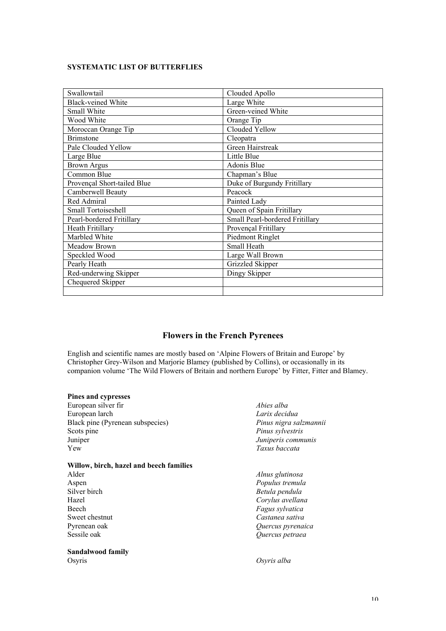#### **SYSTEMATIC LIST OF BUTTERFLIES**

| Swallowtail                 | Clouded Apollo                  |
|-----------------------------|---------------------------------|
| <b>Black-veined White</b>   | Large White                     |
| Small White                 | Green-veined White              |
| Wood White                  | Orange Tip                      |
| Moroccan Orange Tip         | Clouded Yellow                  |
| <b>Brimstone</b>            | Cleopatra                       |
| Pale Clouded Yellow         | Green Hairstreak                |
| Large Blue                  | Little Blue                     |
| <b>Brown Argus</b>          | Adonis Blue                     |
| Common Blue                 | Chapman's Blue                  |
| Provençal Short-tailed Blue | Duke of Burgundy Fritillary     |
| Camberwell Beauty           | Peacock                         |
| Red Admiral                 | Painted Lady                    |
| Small Tortoiseshell         | Queen of Spain Fritillary       |
| Pearl-bordered Fritillary   | Small Pearl-bordered Fritillary |
| Heath Fritillary            | Provençal Fritillary            |
| Marbled White               | Piedmont Ringlet                |
| Meadow Brown                | Small Heath                     |
| Speckled Wood               | Large Wall Brown                |
| Pearly Heath                | Grizzled Skipper                |
| Red-underwing Skipper       | Dingy Skipper                   |
| Chequered Skipper           |                                 |
|                             |                                 |

### **Flowers in the French Pyrenees**

English and scientific names are mostly based on 'Alpine Flowers of Britain and Europe' by Christopher Grey-Wilson and Marjorie Blamey (published by Collins), or occasionally in its companion volume 'The Wild Flowers of Britain and northern Europe' by Fitter, Fitter and Blamey.

#### **Pines and cypresses**

| European silver fir                     | Abies alba             |
|-----------------------------------------|------------------------|
| European larch                          | Larix decidua          |
| Black pine (Pyrenean subspecies)        | Pinus nigra salzmannii |
| Scots pine                              | Pinus sylvestris       |
| Juniper                                 | Juniperis communis     |
| Yew                                     | Taxus baccata          |
| Willow, birch, hazel and beech families |                        |
| Alder                                   | Alnus glutinosa        |
| Aspen                                   | Populus tremula        |
| Silver birch                            | Betula pendula         |
| Hazel                                   | Corylus avellana       |
| <b>Beech</b>                            | Fagus sylvatica        |
| Sweet chestnut                          | Castanea sativa        |
| Pyrenean oak                            | Quercus pyrenaica      |
| Sessile oak                             | Quercus petraea        |
| Sandalwood family                       |                        |

Osyris *Osyris alba*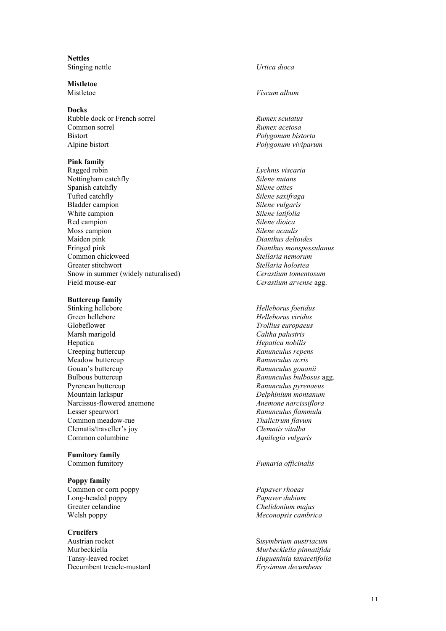**Nettles** Stinging nettle *Urtica dioca*

**Mistletoe**

#### **Docks**

Rubble dock or French sorrel *Rumex scutatus*<br> *Rumex acetosa*<br> *Rumex acetosa* Bistort *Polygonum bistorta* Alpine bistort *Polygonum viviparum*

#### **Pink family**

Ragged robin *Lychnis viscaria* Nottingham catchfly *Silene nutans* **Spanish catchfly** *Silene otites*<br>Tufted catchfly *Silene saxifr* Bladder campion *Silene vulgaris* White campion **Silene latifolia**<br>
Red campion **Silene dioica**<br>
Silene dioica Red campion Moss campion *Silene acaulis* Maiden pink *Dianthus deltoides* Fringed pink *Dianthus monspessulanus* Common chickweed *Stellaria nemorum* Greater stitchwort *Stellaria holostea* Snow in summer (widely naturalised) *Cerastium tomentosum* Field mouse-ear *Cerastium arvense* agg.

# **Buttercup family**<br>Stinking hellebore

Green hellebore *Helleborus viridus* Globeflower *Trollius europaeus* Marsh marigold *Caltha palustris* Hepatica *Hepatica nobilis* Creeping buttercup *Ranunculus repens* Meadow buttercup *Ranunculus acris* Gouan's buttercup *Ranunculus gouanii* Bulbous buttercup *Ranunculus bulbosus* agg. Pyrenean buttercup *Ranunculus pyrenaeus* Mountain larkspur *Delphinium montanum* Narcissus-flowered anemone *Anemone narcissiflora* Lesser spearwort *Ranunculus flammula* Common meadow-rue *Thalictrum flavum* Clematis/traveller's joy *Clematis vitalba* Common columbine *Aquilegia vulgaris*

# **Fumitory family**

#### **Poppy family**

Common or corn poppy *Papaver rhoeas* Long-headed poppy *Papaver dubium* Greater celandine *Chelidonium majus* Welsh poppy *Meconopsis cambrica*

#### **Crucifers**

Austrian rocket S*isymbrium austriacum* Murbeckiella *Murbeckiella pinnatifida* Tansy-leaved rocket *Hugueninia tanacetifolia* Decumbent treacle-mustard *Erysimum decumbens*

#### Mistletoe *Viscum album*

Common sorrel *Rumex acetosa*

 $Silene$  saxifraga

Stinking hellebore *Helleborus foetidus*

#### Common fumitory *Fumaria officinalis*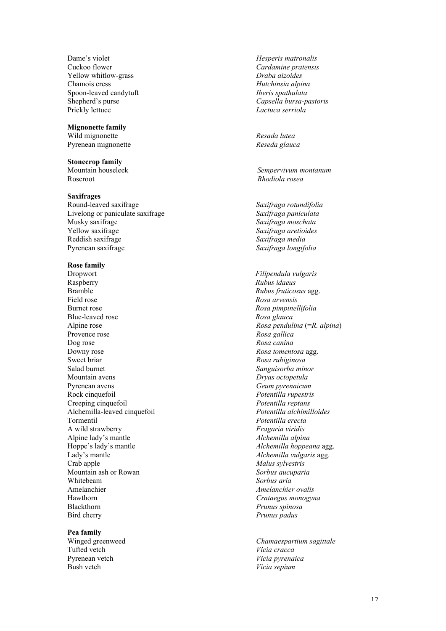Dame's violet *Hesperis matronalis* Cuckoo flower *Cardamine pratensis* Yellow whitlow-grass *Draba aizoides* Chamois cress *Hutchinsia alpina* Spoon-leaved candytuft *Iberis spathulata* Shepherd's purse *Capsella bursa-pastoris* Prickly lettuce *Lactuca serriola*

#### **Mignonette family**

Wild mignonette *Resada lutea* Pyrenean mignonette *Reseda glauca*

#### **Stonecrop family**

Roseroot *Rhodiola rosea*

#### **Saxifrages**

Round-leaved saxifrage *Saxifraga rotundifolia* Livelong or paniculate saxifrage *Saxifraga paniculata* Yellow saxifrage *Saxifraga aretioides* Reddish saxifrage *Saxifraga media* Pyrenean saxifrage *Saxifraga longifolia*

#### **Rose family**

Dropwort *Filipendula vulgaris* Raspberry *Rubus idaeus* Bramble *Rubus fruticosus* agg.<br>Field rose *Rosa arvensis* Field rose *Rosa arvensis* Blue-leaved rose *Rosa glauca* Alpine rose *Rosa pendulina* (=*R. alpina* ) Provence rose *Rosa gallica* Dog rose *Rosa canina* Downy rose *Rosa tomentosa* agg. Sweet briar *Rosa rubiginosa* Salad burnet *Sanguisorba minor* Mountain avens *Dryas octopetula* Pyrenean avens *Geum pyrenaicum* Rock cinquefoil *Potentilla rupestris* Creeping cinquefoil *Potentilla reptans* Alchemilla-leaved cinquefoil *Potentilla alchimilloides* Tormentil *Potentilla erecta* A wild strawberry *Fragaria viridis* Alpine lady's mantle *Alchemilla alpina*<br>
Hoppe's lady's mantle *Alchemilla hopped* Hoppe's lady's mantle *Alchemilla hoppeana* agg.<br>
Lady's mantle *Alchemilla vulgaris* agg.<br> *Alchemilla vulgaris* agg. Lady's mantle *Alchemilla vulgaris* agg.<br>
Crab apple *Malus sylvestris* Mountain ash or Rowan *Sorbus aucuparia* Whitebeam *Sorbus aria*<br>Amelanchier *Amelanchier Amelanchier* Hawthorn *Crataegus monogyna* Blackthorn *Prunus spinosa* Bird cherry *Prunus padus*

#### **Pea family**

Tufted vetch *Vicia cracca* Pyrenean vetch *Vicia pyrenaica* Bush vetch *Vicia sepium*

Mountain houseleek *Sempervivum montanum*

Saxifraga moschata

Burnet rose *Rosa pimpinellifolia* Malus sylvestris Amelanchier *Amelanchier ovalis*

Winged greenweed *Chamaespartium sagittale*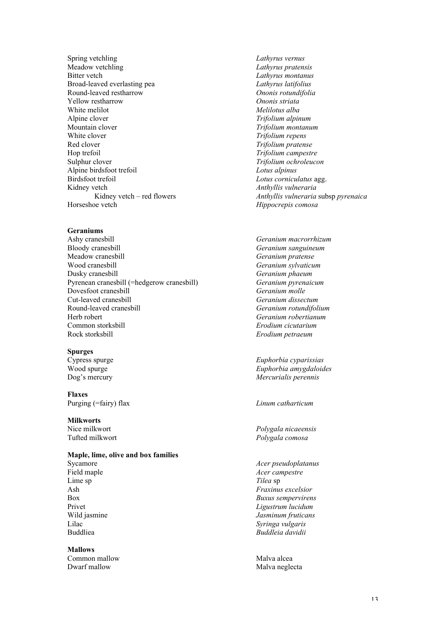Spring vetchling *Lathyrus vernus* Meadow vetchling *Lathyrus pratensis* Bitter vetch *Lathyrus montanus* Broad-leaved everlasting pea *Lathyrus latifolius* Round-leaved restharrow *Ononis rotundifolia* Yellow restharrow *Ononis striata* White melilot<br>
Alpine clover<br>
Trifolium alpine clover Alpine clover *Trifolium alpinum*<br>
Mountain clover *Trifolium montanu* Mountain clover *Trifolium montanum*<br>
White clover *Trifolium repens* Red clover *Trifolium pratense* Hop trefoil *Trifolium campestre* Sulphur clover *Trifolium ochroleucon* Alpine birdsfoot trefoil *Lotus alpinus* Birdsfoot trefoil *Lotus corniculatus* agg. Kidney vetch **Anthyllis** *Vulneraria*<br>Kidney vetch – red flowers *Anthyllis vulneraria* 

#### **Geraniums**

Ashy cranesbill *Geranium macrorrhizum* Bloody cranesbill *Geranium sanguineum* Meadow cranesbill *Geranium pratense* Wood cranesbill *Geranium sylvaticum* Dusky cranesbill<br> *Pyrenean cranesbill* (=hedgerow cranesbill)<br> *Geranium pyrenaicum*<br> *Geranium pyrenaicum* Pyrenean cranesbill (=hedgerow cranesbill) *Geranium pyren*<br>Dovesfoot cranesbill *Geranium molle* **Dovesfoot cranesbill Geranium** *molle*<br> **Cut-leaved cranesbill Geranium** *Geranium dissectum* Cut-leaved cranesbill *Geranium dissectum* Herb robert *Geranium robertianum* Common storksbill *Erodium cicutarium* Rock storksbill *Erodium petraeum*

#### **Spurges**

- 
- **Flaxes** Purging (=fairy) flax *Linum catharticum*

#### **Milkworts**

#### **Maple, lime, olive and box families**

Lime sp

#### **Mallows** Common mallow Malva alcea Dwarf mallow Malva neglecta

 $Trifolium$  *repens* Kidney vetch – red flowers *Anthyllis vulneraria* subsp *pyrenaica*<br>Horseshoe vetch *Hinnocrenis comosa* Hippocrepis comosa

Round-leaved cranesbill *Geranium rotundifolium*

Cypress spurge *Euphorbia cyparissias* Wood spurge *Euphorbia amygdaloides* Dog's mercury *Mercurialis perennis*

Nice milkwort *Polygala nicaeensis* Tufted milkwort *Polygala comosa*

Sycamore *Acer pseudoplatanus* Field maple *Acer campestre*<br>
Lime sp<br>
Tilea sp<br>
Tilea sp Ash *Fraxinus excelsior* Box *Buxus sempervirens* Privet *Ligustrum lucidum* Wild jasmine *Jasminum fruticans* Lilac *Syringa vulgaris* Buddliea *Buddleia davidii*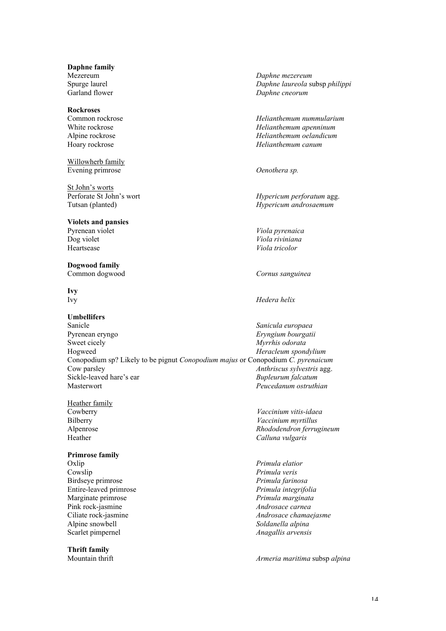**Daphne family**

# **Rockroses**

Willowherb family Evening primrose *Oenothera sp.*

St John's worts<br>Perforate St John's wort

#### **Violets and pansies** Pyrenean violet *Viola pyrenaica* Dog violet *Viola riviniana*

**Dogwood family**

# **Ivy**

#### **Umbellifers**

Sanicle *Sanicula europaea* Pyrenean eryngo *Eryngium bourgatii* Sweet cicely *Myrrhis odorata*<br>
Hogweed *Heracleum spond* Heracleum spondylium Conopodium sp? Likely to be pignut *Conopodium majus* or Conopodium *C. pyrenaicum* Cow parsley *Anthriscus sylvestris* agg. Sickle-leaved hare's ear *Bupleurum falcatum* Masterwort *Peucedanum ostruthian*

Heather family

#### **Primrose family**

Cowslip *Primula veris* Birdseye primrose *Primula farinosa* Entire-leaved primrose *Primula integrifolia* Marginate primrose *Primula marginata* Pink rock-jasmine *Androsace carnea* Alpine snowbell *Soldanella alpina* Scarlet pimpernel *Anagallis arvensis*

#### **Thrift family**

Mezereum *Daphne mezereum* Spurge laurel *Daphne laureola* subsp *philippi* Garland flower *Daphne cneorum*

Common rockrose *Helianthemum nummularium* White rockrose *Helianthemum apenninum* Alpine rockrose *Helianthemum oelandicum* Hoary rockrose *Helianthemum canum*

Hypericum perforatum agg. Tutsan (planted) *Hypericum androsaemum*

Heartsease *Viola tricolor*

Common dogwood *Cornus sanguinea*

#### Ivy *Hedera helix*

Cowberry *Vaccinium vitis-idaea* Bilberry *Vaccinium myrtillus* Alpenrose *Rhododendron ferrugineum* Heather *Calluna vulgaris*

Oxlip *Primula elatior* Ciliate rock-jasmine *Androsace chamaejasme*

Mountain thrift *Armeria maritima* subsp *alpina*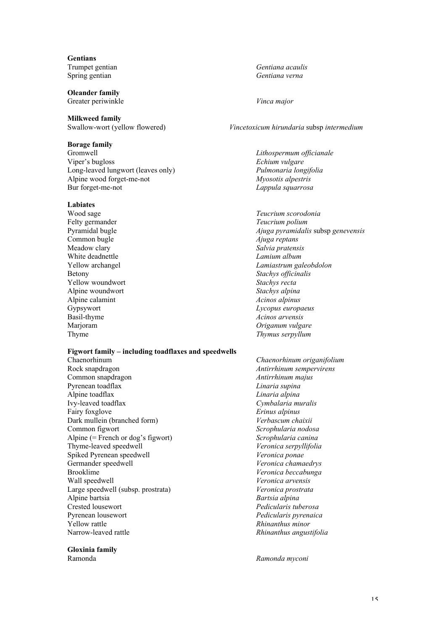**Gentians**

**Oleander family** Greater periwinkle *Vinca major*

**Milkweed family**<br>Swallow-wort (yellow flowered)

#### **Borage family**

Gromwell *Lithospermum officianale* Viper's bugloss *Echium vulgare* Long-leaved lungwort (leaves only) *Pulmonaria longifolia* Alpine wood forget-me-not *Myosotis alpestris* Bur forget-me-not *Lappula squarrosa*

#### **Labiates**

Felty germander *Teucrium polium* Common bugle *Ajuga reptans* Meadow clary *Salvia pratensis* White deadnettle *Lamium album* Betony *Stachys officinalis*<br>
Yellow woundwort *Stachys recta* Yellow woundwort *Stachys recta* Alpine woundwort<br>
Alpine calamint<br>
Acinos alpinus<br>
Acinos alpinus Alpine calamint *Acinos alpinus* Basil-thyme *Acinos arvensis* Marjoram *Origanum vulgare* Thyme *Thymus serpyllum*

#### **Figwort family – including toadflaxes and speedwells**

Rock snapdragon *Antirrhinum sempervirens* Common snapdragon *Antirrhinum majus* Pyrenean toadflax *Linaria supina* Alpine toadflax *Linaria alpina* Ivy-leaved toadflax *Cymbalaria muralis* Fairy foxglove *Erinus alpinus* Dark mullein (branched form) *Verbascum chaixii* Common figwort *Scrophularia nodosa* Alpine (= French or dog's figwort) *Scrophularia canina* Thyme-leaved speedwell *Veronica serpyllifolia* Spiked Pyrenean speedwell *Veronica ponae* Germander speedwell *Veronica chamaedrys* Brooklime *Veronica beccabunga*<br> *Veronica arvensis*<br> *Veronica arvensis* Large speedwell (subsp. prostrata) *Veronica prostrata* Alpine bartsia *Bartsia alpina* Crested lousewort *Pedicularis tuberosa* Pyrenean lousewort *Pedicularis pyrenaica* Yellow rattle *Rhinanthus minor* Narrow-leaved rattle *Rhinanthus angustifolia*

#### **Gloxinia family**

Trumpet gentian *Gentiana acaulis* Spring gentian *Gentiana verna*

#### Swallow-wort (yellow flowered) *Vincetoxicum hirundaria* subsp *intermedium*

Wood sage *Teucrium scorodonia* Pyramidal bugle *Ajuga pyramidalis* subsp *genevensis* Yellow archangel *Lamiastrum galeobdolon* Gypsywort *Lycopus europaeus*

Chaenorhinum *Chaenorhinum origanifolium* Wall speedwell *Veronica arvensis*

#### Ramonda *Ramonda myconi*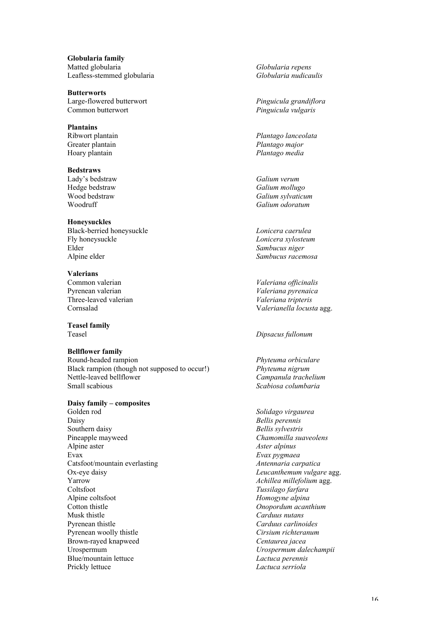**Globularia family** Matted globularia *Globularia repens* Leafless-stemmed globularia *Globularia nudicaulis*

**Butterworts** Large-flowered butterwort *Pinguicula grandiflora* Common butterwort *Pinguicula vulgaris*

**Plantains** Greater plantain *Plantago major* Hoary plantain *Plantago media*

**Bedstraws** Lady's bedstraw *Galium verum*

**Honeysuckles** Black-berried honeysuckle *Lonicera caerulea* Fly honeysuckle *Lonicera xylosteum* Elder *Sambucus niger* Alpine elder *Sambucus racemosa*

**Valerians** Pyrenean valerian *Valeriana pyrenaica* Three-leaved valerian<br>Cornsalad

**Teasel family**

#### **Bellflower family**

Round-headed rampion *Phyteuma orbiculare* Black rampion (though not supposed to occur!) *Phyteuma nigrum* Nettle-leaved bellflower *Campanula trachelium* Small scabious *Scabiosa columbaria*

**Daisy family – composites**

Golden rod *Solidago virgaurea* Daisy *Bellis perennis* Southern daisy *Bellis sylvestris* Pineapple mayweed *Chamomilla suaveolens* Evax *Evax pygmaea* Catsfoot/mountain everlasting Ox-eye daisy *Charles Conserved as Charles Conserved as Charles Leucanthemum vulgare* **agg. Yarrow** *Achillea millefolium* **agg.** Coltsfoot *Tussilago farfara* Alpine coltsfoot *Homogyne alpina* Cotton thistle *Onopordum acanthium* Musk thistle *Carduus nutans* Pyrenean thistle *Carduus carlinoides* Pyrenean woolly thistle *Cirsium richteranum* Brown-rayed knapweed *Centaurea jacea* Urospermum *Urospermum dalechampii* Blue/mountain lettuce *Lactuca perennis* Prickly lettuce *Lactuca serriola*

Ribwort plantain *Plantago lanceolata*

Hedge bedstraw *Galium mollugo*  $G$ alium sylvaticum Woodruff *Galium odoratum*

 $Valeriana$  *officinalis*  $Valerianella locusta agg.$ 

Teasel *Dipsacus fullonum*

Alpine aster *Aster alpinus*  $A$ *chillea millefolium* agg.